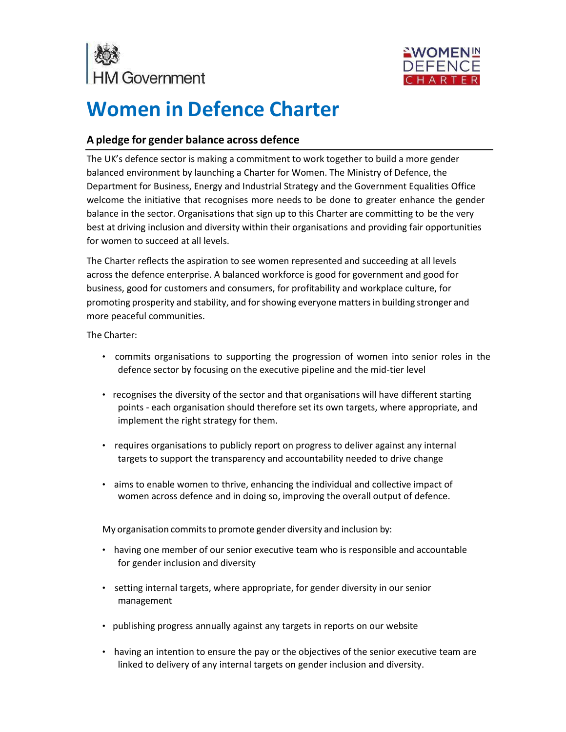



## **Women in Defence Charter**

## **A pledge for gender balance across defence**

The UK's defence sector is making a commitment to work together to build a more gender balanced environment by launching a Charter for Women. The Ministry of Defence, the Department for Business, Energy and Industrial Strategy and the Government Equalities Office welcome the initiative that recognises more needs to be done to greater enhance the gender balance in the sector. Organisations that sign up to this Charter are committing to be the very best at driving inclusion and diversity within their organisations and providing fair opportunities for women to succeed at all levels.

The Charter reflects the aspiration to see women represented and succeeding at all levels across the defence enterprise. A balanced workforce is good for government and good for business, good for customers and consumers, for profitability and workplace culture, for promoting prosperity and stability, and forshowing everyone mattersin building stronger and more peaceful communities.

The Charter:

- commits organisations to supporting the progression of women into senior roles in the defence sector by focusing on the executive pipeline and the mid-tier level
- recognises the diversity of the sector and that organisations will have different starting points - each organisation should therefore set its own targets, where appropriate, and implement the right strategy for them.
- requires organisations to publicly report on progress to deliver against any internal targets to support the transparency and accountability needed to drive change
- aims to enable women to thrive, enhancing the individual and collective impact of women across defence and in doing so, improving the overall output of defence.

My organisation commits to promote gender diversity and inclusion by:

- having one member of our senior executive team who is responsible and accountable for gender inclusion and diversity
- setting internal targets, where appropriate, for gender diversity in our senior management
- publishing progress annually against any targets in reports on our website
- having an intention to ensure the pay or the objectives of the senior executive team are linked to delivery of any internal targets on gender inclusion and diversity.